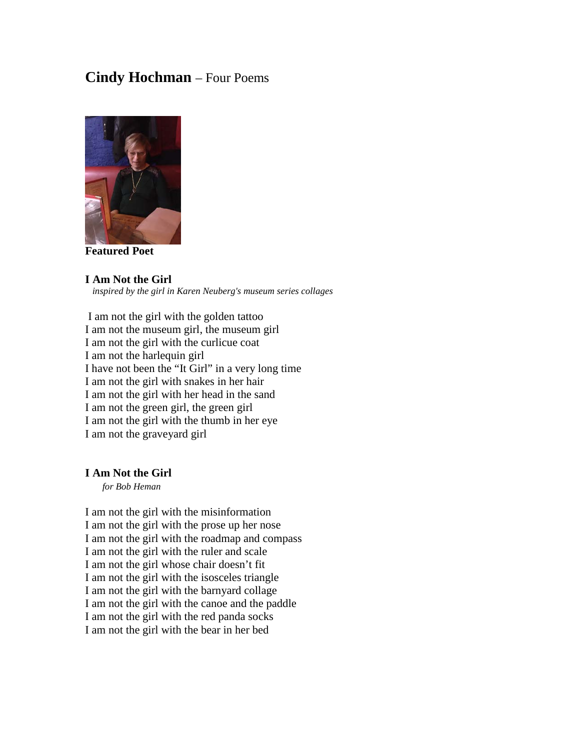# **Cindy Hochman** – Four Poems



**Featured Poet**

#### **I Am Not the Girl**  *inspired by the girl in Karen Neuberg's museum series collages*

I am not the girl with the golden tattoo I am not the museum girl, the museum girl I am not the girl with the curlicue coat I am not the harlequin girl I have not been the "It Girl" in a very long time I am not the girl with snakes in her hair I am not the girl with her head in the sand I am not the green girl, the green girl I am not the girl with the thumb in her eye I am not the graveyard girl

### **I Am Not the Girl**

 *for Bob Heman*

I am not the girl with the misinformation I am not the girl with the prose up her nose I am not the girl with the roadmap and compass I am not the girl with the ruler and scale I am not the girl whose chair doesn't fit I am not the girl with the isosceles triangle I am not the girl with the barnyard collage I am not the girl with the canoe and the paddle I am not the girl with the red panda socks I am not the girl with the bear in her bed